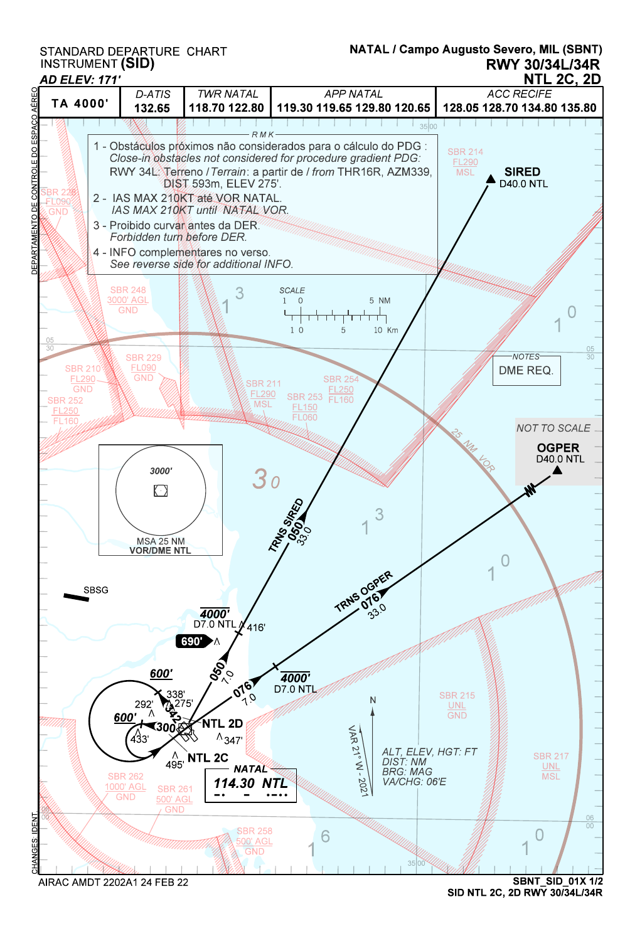STANDARD DEPARTURE CHART<br>INSTRUMENT **(SID)** 

## RWY 30/34L/34R NATAL / Campo Augusto Severo, MIL (SBNT)





SID NTL 2C, 2D RWY 30/34L/34R